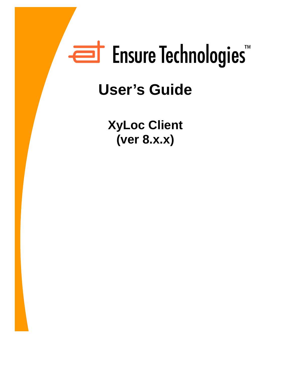# Ensure Technologies

## **User's Guide**

**XyLoc Client (ver 8.x.x)**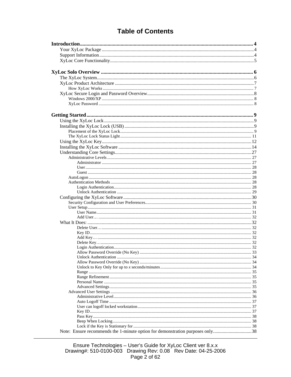### **Table of Contents**

| Note: Ensure recommends the 1-minute option for demonstration purposes only38 |  |
|-------------------------------------------------------------------------------|--|

Ensure Technologies - User's Guide for XyLoc Client ver 8.x.x<br>Drawing#: 510-0100-003 Drawing Rev: 0.08 Rev Date: 04-25-2006<br>Page 2 of 62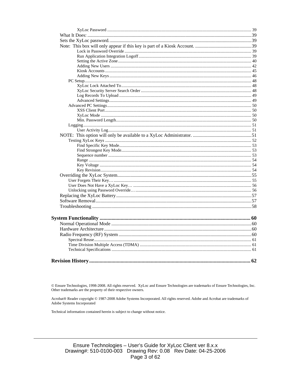© Ensure Technologies, 1998-2008. All rights reserved. XyLoc and Ensure Technologies are trademarks of Ensure Technologies, Inc. Other trademarks are the property of their respective owners.

Acrobat® Reader copyright © 1987-2008 Adobe Systems Incorporated. All rights reserved. Adobe and Acrobat are trademarks of Adobe Systems Incorporated

Technical information contained herein is subject to change without notice.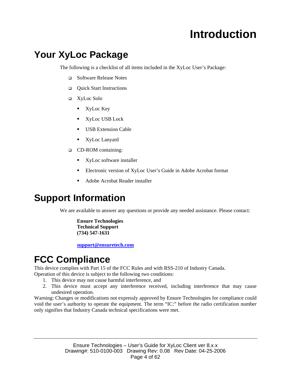## **Introduction**

## **Your XyLoc Package**

The following is a checklist of all items included in the XyLoc User's Package:

- □ Software Release Notes
- □ Quick Start Instructions
- XyLoc Solo
	- **XyLoc Key**
	- **XyLoc USB Lock**
	- **USB** Extension Cable
	- XyLoc Lanyard
- CD-ROM containing:
	- **XyLoc software installer**
	- Electronic version of XyLoc User's Guide in Adobe Acrobat format
	- Adobe Acrobat Reader installer

## **Support Information**

We are available to answer any questions or provide any needed assistance. Please contact:

**Ensure Technologies Technical Support (734) 547-1631** 

**support@ensuretech.com**

## **FCC Compliance**

This device complies with Part 15 of the FCC Rules and with RSS-210 of Industry Canada.

- Operation of this device is subject to the following two conditions:
	- 1. This device may not cause harmful interference, and
	- 2. This device must accept any interference received, including interference that may cause undesired operation.

Warning: Changes or modifications not expressly approved by Ensure Technologies for compliance could void the user's authority to operate the equipment. The term "IC:" before the radio certification number only signifies that Industry Canada technical specifications were met.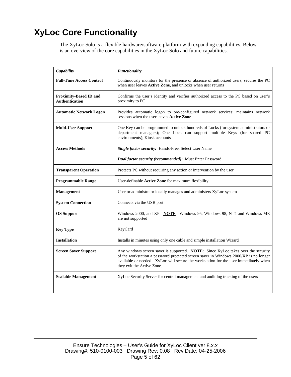## **XyLoc Core Functionality**

The XyLoc Solo is a flexible hardware/software platform with expanding capabilities. Below is an overview of the core capabilities in the XyLoc Solo and future capabilities.

| Capability                                             | <b>Functionality</b>                                                                                                                                                                                                                                                                           |  |
|--------------------------------------------------------|------------------------------------------------------------------------------------------------------------------------------------------------------------------------------------------------------------------------------------------------------------------------------------------------|--|
| <b>Full-Time Access Control</b>                        | Continuously monitors for the presence or absence of authorized users, secures the PC<br>when user leaves Active Zone, and unlocks when user returns                                                                                                                                           |  |
| <b>Proximity-Based ID and</b><br><b>Authentication</b> | Confirms the user's identity and verifies authorized access to the PC based on user's<br>proximity to PC                                                                                                                                                                                       |  |
| <b>Automatic Network Logon</b>                         | Provides automatic logon to pre-configured network services; maintains network<br>sessions when the user leaves Active Zone.                                                                                                                                                                   |  |
| <b>Multi-User Support</b>                              | One Key can be programmed to unlock hundreds of Locks (for system administrators or<br>department managers); One Lock can support multiple Keys (for shared PC<br>environments); Kiosk accounts                                                                                                |  |
| <b>Access Methods</b>                                  | Single factor security: Hands-Free, Select User Name                                                                                                                                                                                                                                           |  |
|                                                        | Dual factor security (recommended): Must Enter Password                                                                                                                                                                                                                                        |  |
| <b>Transparent Operation</b>                           | Protects PC without requiring any action or intervention by the user                                                                                                                                                                                                                           |  |
| <b>Programmable Range</b>                              | User-definable Active Zone for maximum flexibility                                                                                                                                                                                                                                             |  |
| <b>Management</b>                                      | User or administrator locally manages and administers XyLoc system                                                                                                                                                                                                                             |  |
| <b>System Connection</b>                               | Connects via the USB port                                                                                                                                                                                                                                                                      |  |
| <b>OS Support</b>                                      | Windows 2000, and XP. NOTE: Windows 95, Windows 98, NT4 and Windows ME<br>are not supported                                                                                                                                                                                                    |  |
| <b>Key Type</b>                                        | KeyCard                                                                                                                                                                                                                                                                                        |  |
| <b>Installation</b>                                    | Installs in minutes using only one cable and simple installation Wizard                                                                                                                                                                                                                        |  |
| <b>Screen Saver Support</b>                            | Any windows screen saver is supported. NOTE: Since XyLoc takes over the security<br>of the workstation a password protected screen saver in Windows 2000/XP is no longer<br>available or needed. XyLoc will secure the workstation for the user immediately when<br>they exit the Active Zone. |  |
| <b>Scalable Management</b>                             | XyLoc Security Server for central management and audit log tracking of the users                                                                                                                                                                                                               |  |
|                                                        |                                                                                                                                                                                                                                                                                                |  |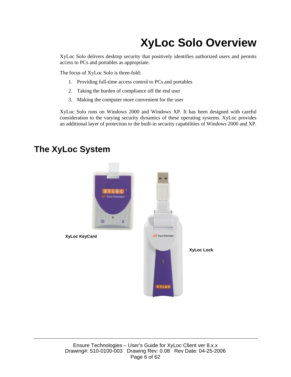## **XyLoc Solo Overview**

XyLoc Solo delivers desktop security that positively identifies authorized users and permits access to PCs and portables as appropriate.

The focus of XyLoc Solo is three-fold:

- 1. Providing full-time access control to PCs and portables
- 2. Taking the burden of compliance off the end user
- 3. Making the computer more convenient for the user

XyLoc Solo runs on Windows 2000 and Windows XP. It has been designed with careful consideration to the varying security dynamics of these operating systems. XyLoc provides an additional layer of protection to the built-in security capabilities of Windows 2000 and XP.



### **The XyLoc System**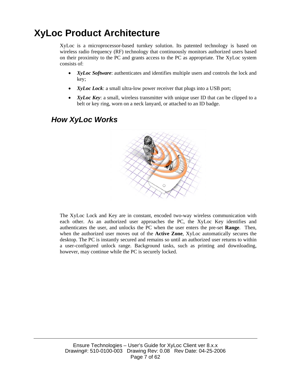## **XyLoc Product Architecture**

XyLoc is a microprocessor-based turnkey solution. Its patented technology is based on wireless radio frequency (RF) technology that continuously monitors authorized users based on their proximity to the PC and grants access to the PC as appropriate. The XyLoc system consists of:

- *XyLoc Software*: authenticates and identifies multiple users and controls the lock and key;
- *XyLoc Lock*: a small ultra-low power receiver that plugs into a USB port;
- *XyLoc Key*: a small, wireless transmitter with unique user ID that can be clipped to a belt or key ring, worn on a neck lanyard, or attached to an ID badge.

### *How XyLoc Works*



The XyLoc Lock and Key are in constant, encoded two-way wireless communication with each other. As an authorized user approaches the PC, the XyLoc Key identifies and authenticates the user, and unlocks the PC when the user enters the pre-set **Range**. Then, when the authorized user moves out of the **Active Zone**, XyLoc automatically secures the desktop. The PC is instantly secured and remains so until an authorized user returns to within a user-configured unlock range. Background tasks, such as printing and downloading, however, may continue while the PC is securely locked.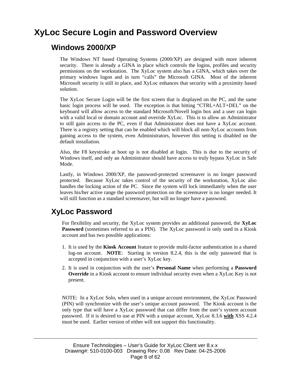## **XyLoc Secure Login and Password Overview**

### **Windows 2000/XP**

The Windows NT based Operating Systems (2000/XP) are designed with more inherent security. There is already a GINA in place which controls the logins, profiles and security permissions on the workstation. The XyLoc system also has a GINA, which takes over the primary windows logon and in turn "calls" the Microsoft GINA. Most of the inherent Microsoft security is still in place, and XyLoc enhances that security with a proximity based solution.

The XyLoc Secure Login will be the first screen that is displayed on the PC, and the same basic login process will be used. The exception is that hitting "CTRL+ALT+DEL" on the keyboard will allow access to the standard Microsoft/Novell login box and a user can login with a valid local or domain account and override XyLoc. This is to allow an Administrator to still gain access to the PC, even if that Administrator does not have a XyLoc account. There is a registry setting that can be enabled which will block all non-XyLoc accounts from gaining access to the system, even Administrators, however this setting is disabled on the default installation.

Also, the F8 keystroke at boot up is not disabled at login. This is due to the security of Windows itself, and only an Administrator should have access to truly bypass XyLoc in Safe Mode.

Lastly, in Windows 2000/XP, the password-protected screensaver is no longer password protected. Because XyLoc takes control of the security of the workstation, XyLoc also handles the locking action of the PC. Since the system will lock immediately when the user leaves his/her active range the password protection on the screensaver is no longer needed. It will still function as a standard screensaver, but will no longer have a password.

### **XyLoc Password**

For flexibility and security, the XyLoc system provides an additional password, the **XyLoc Password** (sometimes referred to as a PIN). The XyLoc password is only used in a Kiosk account and has two possible applications:

- 1. It is used by the **Kiosk Account** feature to provide multi-factor authentication in a shared log-on account. **NOTE**: Starting in version 8.2.4, this is the only password that is accepted in conjunction with a user's XyLoc key.
- 2. It is used in conjunction with the user's **Personal Name** when performing a **Password Override** in a Kiosk account to ensure individual security even when a XyLoc Key is not present.

NOTE: In a XyLoc Solo, when used in a unique account environment, the XyLoc Password (PIN) will synchronize with the user's unique account password. The Kiosk account is the only type that will have a XyLoc password that can differ from the user's system account password. If it is desired to use at PIN with a unique account, XyLoc 8.3.6 **with** XSS 4.2.4 must be used. Earlier version of either will not support this functionality.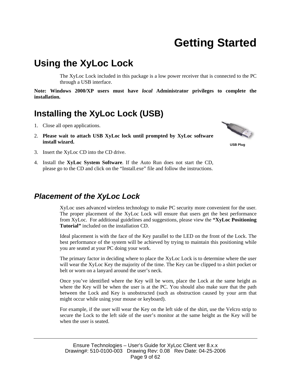## **Getting Started**

## **Using the XyLoc Lock**

The XyLoc Lock included in this package is a low power receiver that is connected to the PC through a USB interface.

**Note: Windows 2000/XP users must have** *local* **Administrator privileges to complete the installation.** 

### **Installing the XyLoc Lock (USB)**

- 1. Close all open applications.
- 2. **Please wait to attach USB XyLoc lock until prompted by XyLoc software install wizard.**



**USB Plug** 

- 3. Insert the XyLoc CD into the CD drive.
- 4. Install the **XyLoc System Software**. If the Auto Run does not start the CD, please go to the CD and click on the "Install.exe" file and follow the instructions.

### *Placement of the XyLoc Lock*

XyLoc uses advanced wireless technology to make PC security more convenient for the user. The proper placement of the XyLoc Lock will ensure that users get the best performance from XyLoc. For additional guidelines and suggestions, please view the **"XyLoc Positioning Tutorial"** included on the installation CD.

Ideal placement is with the face of the Key parallel to the LED on the front of the Lock. The best performance of the system will be achieved by trying to maintain this positioning while you are seated at your PC doing your work.

The primary factor in deciding where to place the XyLoc Lock is to determine where the user will wear the XyLoc Key the majority of the time. The Key can be clipped to a shirt pocket or belt or worn on a lanyard around the user's neck.

Once you've identified where the Key will be worn, place the Lock at the same height as where the Key will be when the user is at the PC. You should also make sure that the path between the Lock and Key is unobstructed (such as obstruction caused by your arm that might occur while using your mouse or keyboard).

For example, if the user will wear the Key on the left side of the shirt, use the Velcro strip to secure the Lock to the left side of the user's monitor at the same height as the Key will be when the user is seated.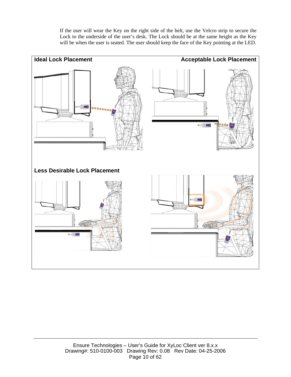If the user will wear the Key on the right side of the belt, use the Velcro strip to secure the Lock to the underside of the user's desk. The Lock should be at the same height as the Key will be when the user is seated. The user should keep the face of the Key pointing at the LED.

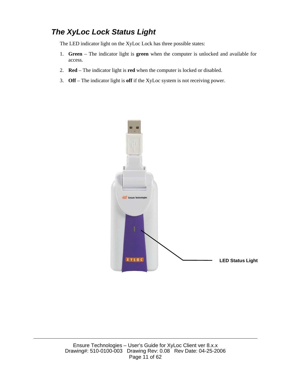### *The XyLoc Lock Status Light*

The LED indicator light on the XyLoc Lock has three possible states:

- 1. **Green** The indicator light is **green** when the computer is unlocked and available for access.
- 2. **Red** The indicator light is **red** when the computer is locked or disabled.
- 3. **Off** The indicator light is **off** if the XyLoc system is not receiving power.

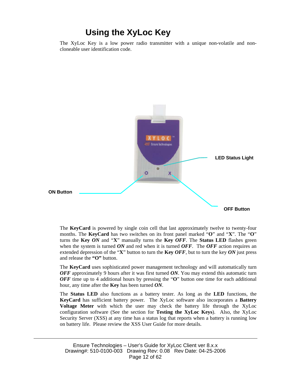### **Using the XyLoc Key**

The XyLoc Key is a low power radio transmitter with a unique non-volatile and noncloneable user identification code.



The **KeyCard** is powered by single coin cell that last approximately twelve to twenty-four months. The **KeyCard** has two switches on its front panel marked "**O**" and "**X**". The "**O**" turns the **Key** *ON* and "**X**" manually turns the **Key** *OFF*. The **Status LED** flashes green when the system is turned *ON* and red when it is turned *OFF*. The *OFF* action requires an extended depression of the "**X**" button to turn the **Key** *OFF*, but to turn the key *ON* just press and release the **"O"** button.

The **KeyCard** uses sophisticated power management technology and will automatically turn *OFF* approximately 9 hours after it was first turned *ON*. You may extend this automatic turn *OFF* time up to 4 additional hours by pressing the "**O**" button one time for each additional hour, any time after the **Key** has been turned *ON*.

The **Status LED** also functions as a battery tester. As long as the **LED** functions, the **KeyCard** has sufficient battery power. The XyLoc software also incorporates a **Battery Voltage Meter** with which the user may check the battery life through the XyLoc configuration software (See the section for **Testing the XyLoc Keys**). Also, the XyLoc Security Server (XSS) at any time has a status log that reports when a battery is running low on battery life. Please review the XSS User Guide for more details.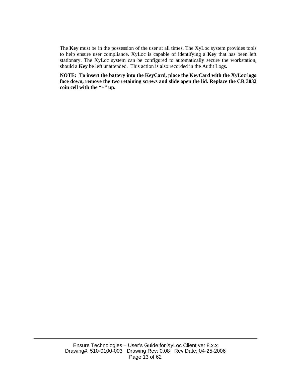The **Key** must be in the possession of the user at all times. The XyLoc system provides tools to help ensure user compliance. XyLoc is capable of identifying a **Key** that has been left stationary. The XyLoc system can be configured to automatically secure the workstation, should a **Key** be left unattended. This action is also recorded in the Audit Logs.

**NOTE: To insert the battery into the KeyCard, place the KeyCard with the XyLoc logo face down, remove the two retaining screws and slide open the lid. Replace the CR 3032**  coin cell with the "+" up.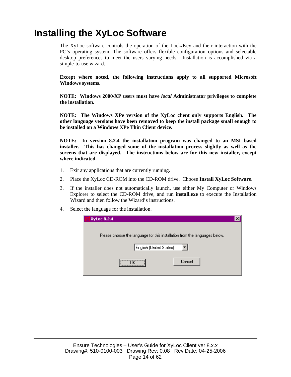## **Installing the XyLoc Software**

The XyLoc software controls the operation of the Lock/Key and their interaction with the PC's operating system. The software offers flexible configuration options and selectable desktop preferences to meet the users varying needs. Installation is accomplished via a simple-to-use wizard.

**Except where noted, the following instructions apply to all supported Microsoft Windows systems.** 

**NOTE: Windows 2000/XP users must have** *local* **Administrator privileges to complete the installation.** 

**NOTE: The Windows XPe version of the XyLoc client only supports English. The other language versions have been removed to keep the install package small enough to be installed on a Windows XPe Thin Client device.** 

**NOTE: In version 8.2.4 the installation program was changed to an MSI based installer. This has changed some of the installation process slightly as well as the screens that are displayed. The instructions below are for this new installer, except where indicated.** 

- 1. Exit any applications that are currently running.
- 2. Place the XyLoc CD-ROM into the CD-ROM drive. Choose **Install XyLoc Software**.
- 3. If the installer does not automatically launch, use either My Computer or Windows Explorer to select the CD-ROM drive, and run **install.exe** to execute the Installation Wizard and then follow the Wizard's instructions.
- 4. Select the language for the installation.

| XyLoc 8.2.4                                                                |  |
|----------------------------------------------------------------------------|--|
| Please choose the language for this installation from the languages below. |  |
| English (United States)                                                    |  |
| <br>Cancel                                                                 |  |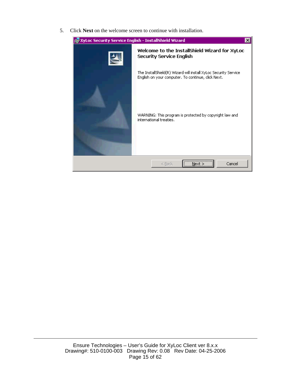5. Click **Next** on the welcome screen to continue with installation.

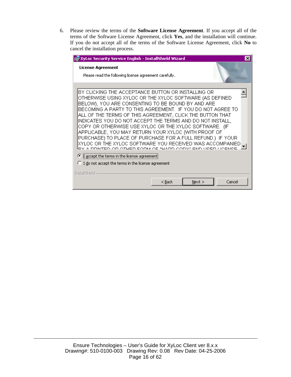6. Please review the terms of the **Software License Agreement**. If you accept all of the terms of the Software License Agreement, click **Yes**, and the installation will continue. If you do not accept all of the terms of the Software License Agreement, click **No** to cancel the installation process.

| 得 XyLoc Security Service English - InstallShield Wizard                                                                                                                                                                                                                                                                                                                                                                                                                                                                                                                                                                                                             |  |
|---------------------------------------------------------------------------------------------------------------------------------------------------------------------------------------------------------------------------------------------------------------------------------------------------------------------------------------------------------------------------------------------------------------------------------------------------------------------------------------------------------------------------------------------------------------------------------------------------------------------------------------------------------------------|--|
| <b>License Agreement</b><br>Please read the following license agreement carefully.                                                                                                                                                                                                                                                                                                                                                                                                                                                                                                                                                                                  |  |
| BY CLICKING THE ACCEPTANCE BUTTON OR INSTALLING OR<br>OTHERWISE USING XYLOC OR THE XYLOC SOFTWARE (AS DEFINED<br>BELOW), YOU ARE CONSENTING TO BE BOUND BY AND ARE<br>BECOMING A PARTY TO THIS AGREEMENT. IF YOU DO NOT AGREE TO<br>ALL OF THE TERMS OF THIS AGREEMENT, CLICK THE BUTTON THAT<br>INDICATES YOU DO NOT ACCEPT THE TERMS AND DO NOT INSTALL,<br>COPY OR OTHERWISE USE XYLOC OR THE XYLOC SOFTWARE. (IF<br>APPLICABLE, YOU MAY RETURN YOUR XYLOC (WITH PROOF OF<br>PURCHASE) TO PLACE OF PURCHASE FOR A FULL REFUND.) IF YOUR<br>XYLOC OR THE XYLOC SOFTWARE YOU RECEIVED WAS ACCOMPANIED<br>DV A DRINTED OD OTHER FORM OF "HARD CORV" END HOED HOENOE |  |
| • I accept the terms in the license agreement<br>$\bigcirc$ I do not accept the terms in the license agreement                                                                                                                                                                                                                                                                                                                                                                                                                                                                                                                                                      |  |
| InstallShield<br>Cancel<br>$<$ Back<br>Next                                                                                                                                                                                                                                                                                                                                                                                                                                                                                                                                                                                                                         |  |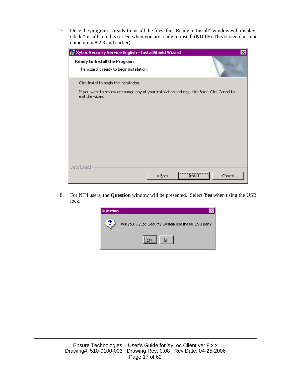7. Once the program is ready to install the files, the "Ready to Install" window will display. Click "Install" on this screen when you are ready to install (**NOTE:** This screen does not come up in 8.2.3 and earlier)

| 得 XyLoc Security Service English - InstallShield Wizard                                                            | $\boldsymbol{\mathsf{x}}$ |
|--------------------------------------------------------------------------------------------------------------------|---------------------------|
| Ready to Install the Program<br>The wizard is ready to begin installation.                                         |                           |
| Click Install to begin the installation.                                                                           |                           |
| If you want to review or change any of your installation settings, click Back. Click Cancel to<br>exit the wizard. |                           |
| InstallShield<br>$<$ Back                                                                                          | Cancel<br>Install         |

8. For NT4 users, the **Question** window will be presented. Select **Yes** when using the USB lock.

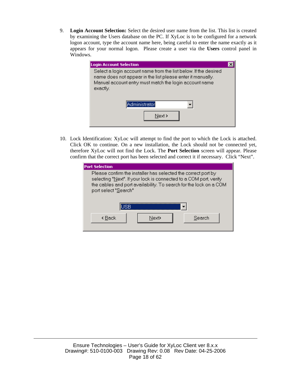9. **Login Account Selection:** Select the desired user name from the list. This list is created by examining the Users database on the PC. If XyLoc is to be configured for a network logon account, type the account name here, being careful to enter the name exactly as it appears for your normal logon. Please create a user via the **Users** control panel in Windows.

| <b>Login Account Selection</b>                                                                                                                                                                      |  |
|-----------------------------------------------------------------------------------------------------------------------------------------------------------------------------------------------------|--|
| Select a login account name from the list below. If the desired<br>name does not appear in the list please enter it manually.<br>Manual account entry must match the login account name<br>exactly. |  |
| Administrator<br>Next >                                                                                                                                                                             |  |

10. Lock Identification: XyLoc will attempt to find the port to which the Lock is attached. Click OK to continue. On a new installation, the Lock should not be connected yet, therefore XyLoc will not find the Lock. The **Port Selection** screen will appear. Please confirm that the correct port has been selected and correct it if necessary. Click "Next".

| <b>Port Selection</b>                                                                                                                                                                                                           |        |
|---------------------------------------------------------------------------------------------------------------------------------------------------------------------------------------------------------------------------------|--------|
| Please confirm the installer has selected the correct port by<br>selecting "Next". If your lock is connected to a COM port, verify<br>the cables and port availability. To search for the lock on a COM<br>port select "Search" |        |
| ISB                                                                                                                                                                                                                             |        |
| Next><br>k Back                                                                                                                                                                                                                 | Search |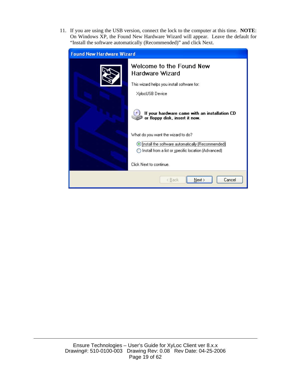11. If you are using the USB version, connect the lock to the computer at this time. **NOTE**: On Windows XP, the Found New Hardware Wizard will appear. Leave the default for "Install the software automatically (Recommended)" and click Next.

| <b>Found New Hardware Wizard</b> |                                                                                                           |
|----------------------------------|-----------------------------------------------------------------------------------------------------------|
|                                  | Welcome to the Found New<br>Hardware Wizard                                                               |
|                                  | This wizard helps you install software for:                                                               |
|                                  | XylocUSB Device                                                                                           |
|                                  | If your hardware came with an installation CD<br>or floppy disk, insert it now.                           |
|                                  | What do you want the wizard to do?                                                                        |
|                                  | ⊙ [nstall the software automatically (Recommended)<br>Install from a list or specific location (Advanced) |
|                                  | Click Next to continue.                                                                                   |
|                                  | Next ><br>Cancel<br>< <u>B</u> ack                                                                        |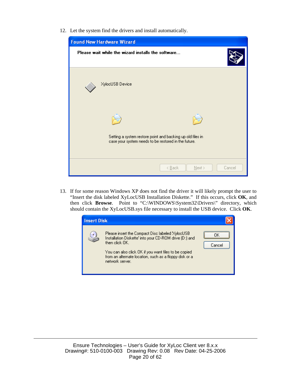12. Let the system find the drivers and install automatically.



13. If for some reason Windows XP does not find the driver it will likely prompt the user to "Insert the disk labeled XyLocUSB Installation Diskette." If this occurs, click **OK**, and then click **Browse**. Point to "C:\WINDOWS\System32\Drivers\" directory, which should contain the XyLocUSB.sys file necessary to install the USB device. Click **OK**.

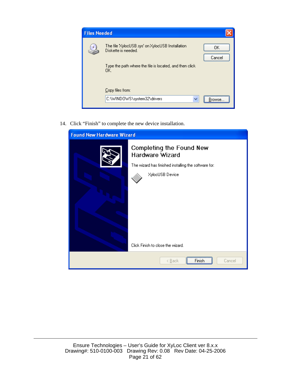

14. Click "Finish" to complete the new device installation.

| <b>Found New Hardware Wizard</b> |                                                                                                                                                             |
|----------------------------------|-------------------------------------------------------------------------------------------------------------------------------------------------------------|
|                                  | Completing the Found New<br>Hardware Wizard<br>The wizard has finished installing the software for:<br>XylocUSB Device<br>Click Finish to close the wizard. |
|                                  | < <u>B</u> ack<br>Cancel<br>Finish                                                                                                                          |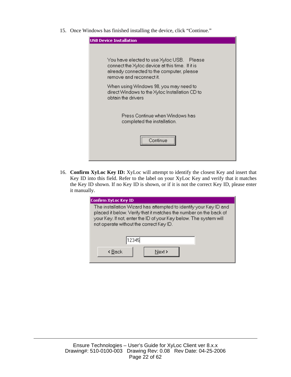15. Once Windows has finished installing the device, click "Continue."



16. **Confirm XyLoc Key ID:** XyLoc will attempt to identify the closest Key and insert that Key ID into this field. Refer to the label on your XyLoc Key and verify that it matches the Key ID shown. If no Key ID is shown, or if it is not the correct Key ID, please enter it manually.

| Confirm XyLoc Key ID                                                                                                                                                                                                                                   |
|--------------------------------------------------------------------------------------------------------------------------------------------------------------------------------------------------------------------------------------------------------|
| The installation Wizard has attempted to identify your Key ID and<br>placed it below. Verify that it matches the number on the back of<br>your Key. If not, enter the ID of your Key below. The system will<br>not operate without the correct Key ID. |
| 12345                                                                                                                                                                                                                                                  |
| Next ><br>k Back                                                                                                                                                                                                                                       |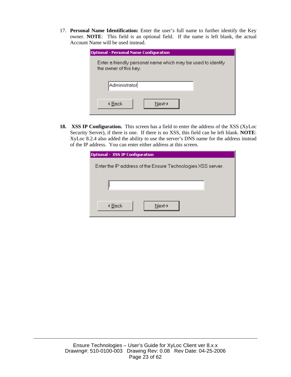17. **Personal Name Identification:** Enter the user's full name to further identify the Key owner. **NOTE**: This field is an optional field. If the name is left blank, the actual Account Name will be used instead.

| <b>Optional - Personal Name Configuration</b>                                          |
|----------------------------------------------------------------------------------------|
| Enter a friendly personal name which may be used to identify<br>the owner of this key. |
| Administrator                                                                          |
| Next-><br>k <u>B</u> ack                                                               |

**18. XSS IP Configuration.** This screen has a field to enter the address of the XSS (XyLoc Security Server), if there is one. If there is no XSS, this field can be left blank. **NOTE**: XyLoc 8.2.4 also added the ability to use the server's DNS name for the address instead of the IP address. You can enter either address at this screen.

| Optional - XSS IP Configuration                             |  |  |  |  |  |
|-------------------------------------------------------------|--|--|--|--|--|
| Enter the IP address of the Ensure Technologies XSS server. |  |  |  |  |  |
|                                                             |  |  |  |  |  |
| Next-><br>k <u>B</u> ack                                    |  |  |  |  |  |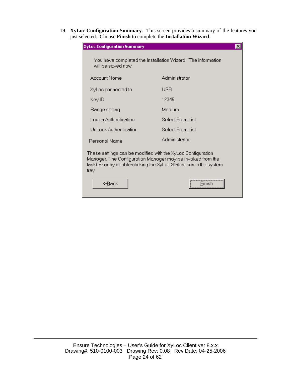19. **XyLoc Configuration Summary**. This screen provides a summary of the features you just selected. Choose **Finish** to complete the **Installation Wizard**.

| <b>XyLoc Configuration Summary</b>                                                                                                                                                                     | $\vert x \vert$                                             |  |  |  |  |
|--------------------------------------------------------------------------------------------------------------------------------------------------------------------------------------------------------|-------------------------------------------------------------|--|--|--|--|
| will be saved now.                                                                                                                                                                                     | You have completed the Installation Wizard. The information |  |  |  |  |
| Account Name                                                                                                                                                                                           | Administrator                                               |  |  |  |  |
| XyLoc connected to                                                                                                                                                                                     | USB                                                         |  |  |  |  |
| Key ID                                                                                                                                                                                                 | 12345                                                       |  |  |  |  |
| Range setting                                                                                                                                                                                          | Medium                                                      |  |  |  |  |
| Logon Authentication                                                                                                                                                                                   | Select From List                                            |  |  |  |  |
| UnLock Authentication                                                                                                                                                                                  | Select From List                                            |  |  |  |  |
| Personal Name                                                                                                                                                                                          | Administrator                                               |  |  |  |  |
| These settings can be modified with the XyLoc Configuration<br>Manager. The Confiquration Manager may be invoked from the<br>taskbar or by double-clicking the XyLoc Status Icon in the system<br>tray |                                                             |  |  |  |  |
| <b>&lt;-Back</b>                                                                                                                                                                                       |                                                             |  |  |  |  |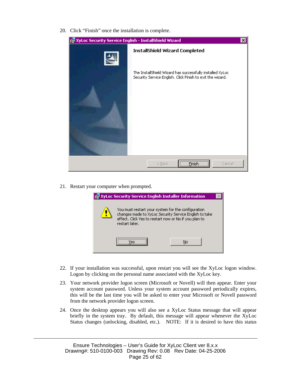20. Click "Finish" once the installation is complete.

| ig XyLoc Security Service English - InstallShield Wizard<br>$\times$ |                                                                                                                         |  |  |  |  |  |
|----------------------------------------------------------------------|-------------------------------------------------------------------------------------------------------------------------|--|--|--|--|--|
|                                                                      | <b>InstallShield Wizard Completed</b>                                                                                   |  |  |  |  |  |
|                                                                      | The InstallShield Wizard has successfully installed XyLoc<br>Security Service English. Click Finish to exit the wizard. |  |  |  |  |  |
|                                                                      | <b>Finish</b><br>Cancel<br>$Back$                                                                                       |  |  |  |  |  |

21. Restart your computer when prompted.

|                                                                                                                                                                                          | <b>XyLoc Security Service English Installer Information</b> |    |  |  |  |  |  |
|------------------------------------------------------------------------------------------------------------------------------------------------------------------------------------------|-------------------------------------------------------------|----|--|--|--|--|--|
| You must restart your system for the configuration.<br>changes made to XyLoc Security Service English to take<br>effect. Click Yes to restart now or No if you plan to<br>restart later. |                                                             |    |  |  |  |  |  |
|                                                                                                                                                                                          |                                                             | No |  |  |  |  |  |

- 22. If your installation was successful, upon restart you will see the XyLoc logon window. Logon by clicking on the personal name associated with the XyLoc key.
- 23. Your network provider logon screen (Microsoft or Novell) will then appear. Enter your system account password. Unless your system account password periodically expires, this will be the last time you will be asked to enter your Microsoft or Novell password from the network provider logon screen.
- 24. Once the desktop appears you will also see a XyLoc Status message that will appear briefly in the system tray. By default, this message will appear whenever the XyLoc Status changes (unlocking, disabled, etc.). NOTE: If it is desired to have this status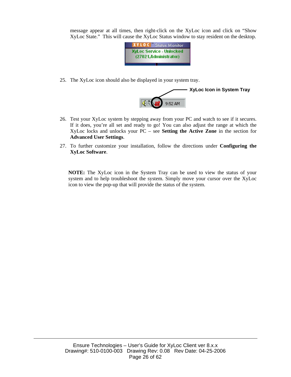message appear at all times, then right-click on the XyLoc icon and click on "Show XyLoc State." This will cause the XyLoc Status window to stay resident on the desktop.



25. The XyLoc icon should also be displayed in your system tray.



- 26. Test your XyLoc system by stepping away from your PC and watch to see if it secures. If it does, you're all set and ready to go! You can also adjust the range at which the XyLoc locks and unlocks your PC – see **Setting the Active Zone** in the section for **Advanced User Settings**.
- 27. To further customize your installation, follow the directions under **Configuring the XyLoc Software**.

**NOTE:** The XyLoc icon in the System Tray can be used to view the status of your system and to help troubleshoot the system. Simply move your cursor over the XyLoc icon to view the pop-up that will provide the status of the system.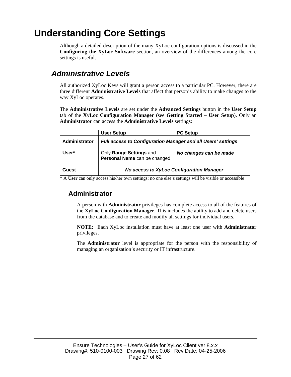## **Understanding Core Settings**

Although a detailed description of the many XyLoc configuration options is discussed in the **Configuring the XyLoc Software** section, an overview of the differences among the core settings is useful.

### *Administrative Levels*

All authorized XyLoc Keys will grant a person access to a particular PC. However, there are three different **Administrative Levels** that affect that person's ability to make changes to the way XyLoc operates.

The **Administrative Levels** are set under the **Advanced Settings** button in the **User Setup** tab of the **XyLoc Configuration Manager** (see **Getting Started – User Setup**). Only an **Administrator** can access the **Administrative Levels** settings:

|               | User Setup                                                          | <b>PC Setup</b>        |  |  |  |  |
|---------------|---------------------------------------------------------------------|------------------------|--|--|--|--|
| Administrator | <b>Full access to Configuration Manager and all Users' settings</b> |                        |  |  |  |  |
| User*         | Only Range Settings and<br>Personal Name can be changed             | No changes can be made |  |  |  |  |
| Guest         | <b>No access to XyLoc Configuration Manager</b>                     |                        |  |  |  |  |

\* A **User** can only access his/her own settings: no one else's settings will be visible or accessible

#### **Administrator**

A person with **Administrator** privileges has complete access to all of the features of the **XyLoc Configuration Manager**. This includes the ability to add and delete users from the database and to create and modify all settings for individual users.

**NOTE:** Each XyLoc installation must have at least one user with **Administrator** privileges.

The **Administrator** level is appropriate for the person with the responsibility of managing an organization's security or IT infrastructure.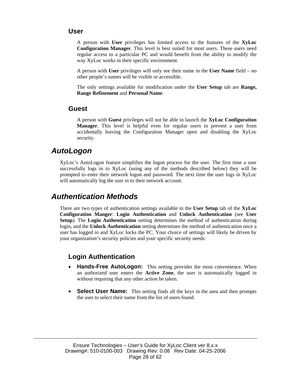#### **User**

A person with **User** privileges has limited access to the features of the **XyLoc Configuration Manager**. This level is best suited for most users. These users need regular access to a particular PC and would benefit from the ability to modify the way XyLoc works in their specific environment.

A person with **User** privileges will only see their name in the **User Name** field – no other people's names will be visible or accessible.

The only settings available for modification under the **User Setup** tab are **Range, Range Refinement** and **Personal Name**.

#### **Guest**

A person with **Guest** privileges will not be able to launch the **XyLoc Configuration Manager**. This level is helpful even for regular users to prevent a user from accidentally leaving the Configuration Manager open and disabling the XyLoc security.

#### *AutoLogon*

XyLoc's AutoLogon feature simplifies the logon process for the user. The first time a user successfully logs in to XyLoc (using any of the methods described below) they will be prompted to enter their network logon and password. The next time the user logs in XyLoc will automatically log the user in to their network account.

### *Authentication Methods*

There are two types of authentication settings available in the **User Setup** tab of the **XyLoc Configuration Manger**: **Login Authentication** and **Unlock Authentication** (see **User Setup**). The **Login Authentication** setting determines the method of authentication during login, and the **Unlock Authentication** setting determines the method of authentication once a user has logged in and XyLoc locks the PC. Your choice of settings will likely be driven by your organization's security policies and your specific security needs:

#### **Login Authentication**

- **Hands-Free AutoLogon:** This setting provides the most convenience. When an authorized user enters the **Active Zone**, the user is automatically logged in without requiring that any other action be taken.
- **Select User Name:** This setting finds all the keys in the area and then prompts the user to select their name from the list of users found.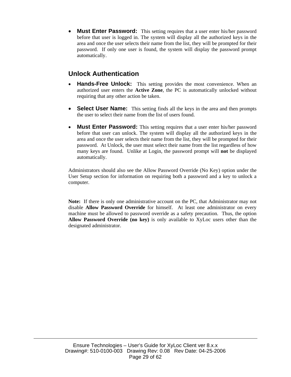• **Must Enter Password:** This setting requires that a user enter his/her password before that user is logged in. The system will display all the authorized keys in the area and once the user selects their name from the list, they will be prompted for their password. If only one user is found, the system will display the password prompt automatically.

### **Unlock Authentication**

- **Hands-Free Unlock:** This setting provides the most convenience. When an authorized user enters the **Active Zone**, the PC is automatically unlocked without requiring that any other action be taken.
- **Select User Name:** This setting finds all the keys in the area and then prompts the user to select their name from the list of users found.
- **Must Enter Password:** This setting requires that a user enter his/her password before that user can unlock. The system will display all the authorized keys in the area and once the user selects their name from the list, they will be prompted for their password. At Unlock, the user must select their name from the list regardless of how many keys are found. Unlike at Login, the password prompt will **not** be displayed automatically.

Administrators should also see the Allow Password Override (No Key) option under the User Setup section for information on requiring both a password and a key to unlock a computer.

**Note:** If there is only one administrative account on the PC, that Administrator may not disable **Allow Password Override** for himself. At least one administrator on every machine must be allowed to password override as a safety precaution. Thus, the option **Allow Password Override (no key)** is only available to XyLoc users other than the designated administrator.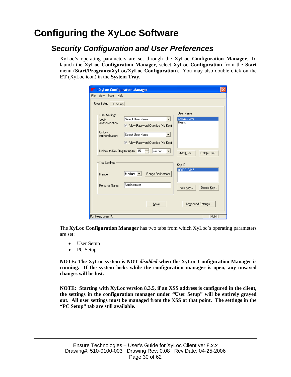## **Configuring the XyLoc Software**

### *Security Configuration and User Preferences*

XyLoc's operating parameters are set through the **XyLoc Configuration Manager**. To launch the **XyLoc Configuration Manager**, select **XyLoc Configuration** from the **Start** menu (**Start/Programs/XyLoc/XyLoc Configuration**). You may also double click on the **ET** (XyLoc icon) in the **System Tray**.

| - XyLoc Configuration Manager<br>ㅋ                                      |                                                                                                                                                        |                                     |
|-------------------------------------------------------------------------|--------------------------------------------------------------------------------------------------------------------------------------------------------|-------------------------------------|
| File<br>Tools Help<br><b>View</b>                                       |                                                                                                                                                        |                                     |
| User Setup   PC Setup                                                   |                                                                                                                                                        |                                     |
| User Settings:<br>Login<br>Authentication:<br>Unlock<br>Authentication: | Select User Name<br>$\triangledown$ Allow Password Override (No Key)<br>Select User Name<br>$\blacktriangledown$<br>M Allow Password Override (No Key) | User Name<br>Administrator<br>Guest |
| Unlock to Key Only for up to 15                                         | ÷<br>seconds $\vert \bullet \vert$                                                                                                                     | Add User<br>Delete User             |
| Key Settings:                                                           |                                                                                                                                                        | Key ID                              |
| Range:                                                                  | Medium $\blacktriangledown$<br>Range Refinement                                                                                                        | 0000012345                          |
| Personal Name:                                                          | Administrator                                                                                                                                          | Add Key<br>Delete Key               |
|                                                                         | Save                                                                                                                                                   | Advanced Settings                   |
| For Help, press F1                                                      |                                                                                                                                                        | NUM                                 |

The **XyLoc Configuration Manager** has two tabs from which XyLoc's operating parameters are set:

- User Setup
- PC Setup

**NOTE: The XyLoc system is NOT** *disabled* **when the XyLoc Configuration Manager is running. If the system locks while the configuration manager is open, any unsaved changes will be lost.** 

**NOTE: Starting with XyLoc version 8.3.5, if an XSS address is configured in the client, the settings in the configuration manager under "User Setup" will be entirely grayed out. All user settings must be managed from the XSS at that point. The settings in the "PC Setup" tab are still available.**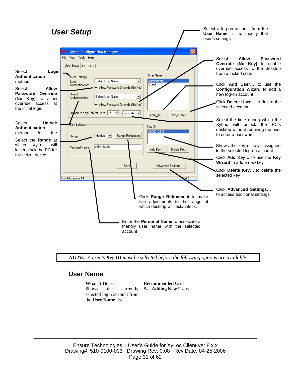

*NOTE: A user's Key ID must be selected before the following options are available.* 

#### **User Name**

Shows the currently selected login account from the **User Name** list.

**What It Does: Recommended Use:** See **Adding New Users**.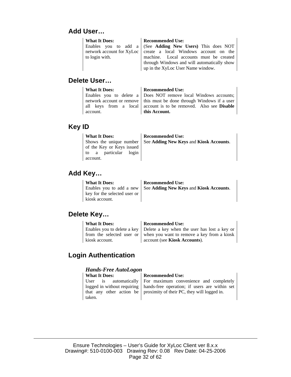#### **Add User…**

| <b>What It Does:</b> | <b>Recommended Use:</b>                                           |  |  |  |  |  |
|----------------------|-------------------------------------------------------------------|--|--|--|--|--|
|                      | Enables you to add a (See Adding New Users) This does NOT         |  |  |  |  |  |
|                      | network account for XyLoc   create a local Windows account on the |  |  |  |  |  |
| to login with.       | machine. Local accounts must be created                           |  |  |  |  |  |
|                      | through Windows and will automatically show                       |  |  |  |  |  |
|                      | up in the XyLoc User Name window.                                 |  |  |  |  |  |

#### **Delete User…**

| <b>What It Does:</b> | <b>Recommended Use:</b>                                                 |
|----------------------|-------------------------------------------------------------------------|
|                      | Enables you to delete a Does NOT remove local Windows accounts;         |
|                      | network account or remove   this must be done through Windows if a user |
|                      | all keys from a local account is to be removed. Also see <b>Disable</b> |
| account.             | this Account.                                                           |

### **Key ID**

| <b>What It Does:</b><br>of the Key or Keys issued<br>to a particular login<br>account. | <b>Recommended Use:</b><br>Shows the unique number   See Adding New Keys and Kiosk Accounts. |
|----------------------------------------------------------------------------------------|----------------------------------------------------------------------------------------------|
|----------------------------------------------------------------------------------------|----------------------------------------------------------------------------------------------|

#### **Add Key…**

### **Delete Key…**

| <b>What It Does:</b> | <b>Recommended Use:</b>                                                          |  |  |  |  |
|----------------------|----------------------------------------------------------------------------------|--|--|--|--|
|                      | Enables you to delete a key $\vert$ Delete a key when the user has lost a key or |  |  |  |  |
|                      | from the selected user or $\vert$ when you want to remove a key from a kiosk     |  |  |  |  |
| kiosk account.       | account (see Kiosk Accounts).                                                    |  |  |  |  |

### **Login Authentication**

## *Hands-Free AutoLogon*

**Recommended Use:** User is automatically logged in without requiring that any other action be taken. For maximum convenience and completely hands-free operation; if users are within set proximity of their PC, they will logged in.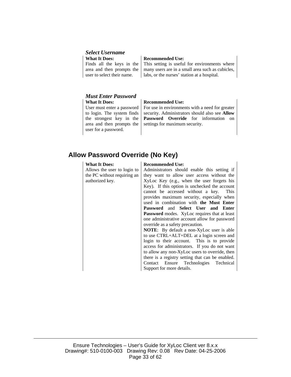#### *Select Username*

**What It Does: Recommended Use:** Finds all the keys in the area and then prompts the user to select their name.

This setting is useful for environments where many users are in a small area such as cubicles, labs, or the nurses' station at a hospital.

#### *Must Enter Password* **What It Does: Recommended Use:**

User must enter a password to login. The system finds the strongest key in the area and then prompts the user for a password.

For use in environments with a need for greater security. Administrators should also see **Allow Password Override** for information on settings for maximum security.

#### **Allow Password Override (No Key)**

Allows the user to login to the PC without requiring an authorized key.

#### **What It Does: Recommended Use:**

Administrators should enable this setting if they want to allow user access without the XyLoc Key (e.g., when the user forgets his Key). If this option is unchecked the account cannot be accessed without a key. This provides maximum security, especially when used in combination with **the Must Enter Password** and **Select User and Enter Password** modes. XyLoc requires that at least one administrative account allow for password override as a safety precaution.

**NOTE**: By default a non-XyLoc user is able to use CTRL+ALT+DEL at a login screen and login to their account. This is to provide access for administrators. If you do not want to allow any non-XyLoc users to override, then there is a registry setting that can be enabled. Contact Ensure Technologies Technical Support for more details.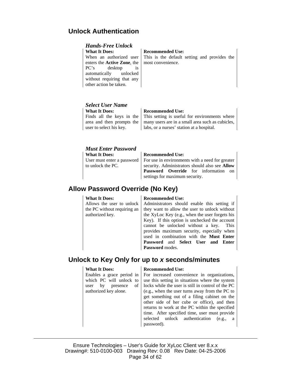#### **Unlock Authentication**

#### *Hands-Free Unlock*

**What It Does: Recommended Use:** When an authorized user enters the **Active Zone**, the PC's desktop is automatically unlocked without requiring that any other action be taken.

This is the default setting and provides the most convenience.

#### *Select User Name*

**What It Does: Recommended Use:** 

Finds all the keys in the area and then prompts the user to select his key.

## This setting is useful for environments where

many users are in a small area such as cubicles, labs, or a nurses' station at a hospital.

#### *Must Enter Password*

**What It Does: Recommended Use:** User must enter a password to unlock the PC.

For use in environments with a need for greater security. Administrators should also see **Allow Password Override** for information on settings for maximum security.

### **Allow Password Override (No Key)**

Allows the user to unlock the PC without requiring an authorized key.

#### **What It Does: Recommended Use:**

Administrators should enable this setting if they want to allow the user to unlock without the XyLoc Key (e.g., when the user forgets his Key). If this option is unchecked the account cannot be unlocked without a key. This provides maximum security, especially when used in combination with the **Must Enter Password** and **Select User and Enter Password** modes.

#### **Unlock to Key Only for up to** *x* **seconds/minutes**

Enables a grace period in which PC will unlock to user by presence of authorized key alone.

#### **What It Does: Recommended Use:**

For increased convenience in organizations, use this setting in situations where the system locks while the user is still in control of the PC (e.g., when the user turns away from the PC to get something out of a filing cabinet on the other side of her cube or office), and then returns to work at the PC within the specified time. After specified time, user must provide selected unlock authentication (e.g., a password).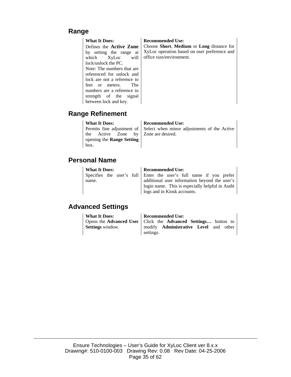#### **Range**

Defines the **Active Zone** by setting the range at which XyLoc will lock/unlock the PC. Note: The numbers that are referenced for unlock and lock are not a reference to feet or meters. The numbers are a reference to strength of the signal between lock and key.

#### **What It Does: Recommended Use:**

Choose **Short**, **Medium** or **Long** distance for XyLoc operation based on user preference and office size/environment.

#### **Range Refinement**

#### **What It Does: Recommended Use:**

Permits fine adjustment of the Active Zone by opening the **Range Setting** box.

Select when minor adjustments of the Active Zone are desired.

#### **Personal Name**

| <b>What It Does:</b>                                               |  |  | <b>Recommended Use:</b> |                                                 |  |  |  |  |  |  |  |
|--------------------------------------------------------------------|--|--|-------------------------|-------------------------------------------------|--|--|--|--|--|--|--|
| Specifies the user's full Enter the user's full name if you prefer |  |  |                         |                                                 |  |  |  |  |  |  |  |
| name.                                                              |  |  |                         | additional user information beyond the user's   |  |  |  |  |  |  |  |
|                                                                    |  |  |                         | login name. This is especially helpful in Audit |  |  |  |  |  |  |  |
|                                                                    |  |  |                         | logs and in Kiosk accounts.                     |  |  |  |  |  |  |  |

### **Advanced Settings**

| <b>What It Does:</b>    | <b>Recommended Use:</b>                                         |
|-------------------------|-----------------------------------------------------------------|
|                         | Opens the Advanced User   Click the Advanced Settings button to |
| <b>Settings</b> window. | modify <b>Administrative Level</b> and other                    |
|                         | settings.                                                       |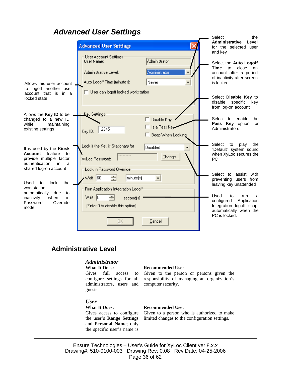### *Advanced User Settings*

|                                                                                                                    | <b>Advanced User Settings</b>                                                                                                                    | Select<br>the<br><b>Administrative</b><br>Level<br>for the selected user                                                                   |
|--------------------------------------------------------------------------------------------------------------------|--------------------------------------------------------------------------------------------------------------------------------------------------|--------------------------------------------------------------------------------------------------------------------------------------------|
| Allows this user account<br>to logoff another user                                                                 | User Account Settings<br>Administrator<br>User Name:<br>Administrator<br>Administrative Level:<br>▼<br>Auto Logoff Time (minutes):<br>Never<br>▼ | and key<br>Select the Auto Logoff<br><b>Time</b><br>to<br>close<br>an<br>account after a period<br>of inactivity after screen<br>is locked |
| account that is in a<br>locked state                                                                               | User can logoff locked workstation                                                                                                               | Select Disable Key to<br>disable<br>specific<br>kev<br>from log-on account                                                                 |
| Allows the <b>Key ID</b> to be<br>changed to a new ID<br>while<br>maintaining<br>existing settings                 | Key Settings<br>Disable Key<br>Is a Pass Key<br>12345<br>Key ID:<br>Beep When Locking                                                            | Select to enable<br>the<br>Pass Key option for<br>Administrators                                                                           |
| It is used by the Kiosk<br><b>Account</b><br>feature<br>to<br>provide multiple factor<br>authentication<br>in<br>a | Lock if the Key is Stationary for<br>Disabled<br>********<br>Change<br>XvLoc Password:                                                           | Select<br>to<br>play<br>the<br>"Default" system sound<br>when XyLoc secures the<br><b>PC</b>                                               |
| shared log-on account<br>the<br>Used<br>to<br>lock<br>workstation<br>automatically<br>due<br>to                    | Lock in Password Override<br>Wait $ 60 $<br>÷<br>minute(s)<br>Run Application Integration Logoff                                                 | Select to assist with<br>preventing users from<br>leaving key unattended                                                                   |
| inactivity<br>when<br>in<br>Override<br>Password<br>mode.                                                          | Wait 10<br>second(s)<br>(Enter 0 to disable this option)                                                                                         | Used<br>to<br>run<br>a<br>Application<br>configured<br>Integration logoff script<br>automatically when the<br>PC is locked.                |
|                                                                                                                    | OK<br>Cancel                                                                                                                                     |                                                                                                                                            |

### **Administrative Level**

#### *Administrator*

Gives full access to configure settings for all administrators, users and guests.

#### **What It Does: Recommended Use:**

Given to the person or persons given the responsibility of managing an organization's computer security.

#### *User*

**What It Does: Recommended Use:** Gives access to configure the user's **Range Settings** and **Personal Name**; only the specific user's name is

Given to a person who is authorized to make limited changes to the configuration settings.

Ensure Technologies – User's Guide for XyLoc Client ver 8.x.x Drawing#: 510-0100-003 Drawing Rev: 0.08 Rev Date: 04-25-2006 Page 36 of 62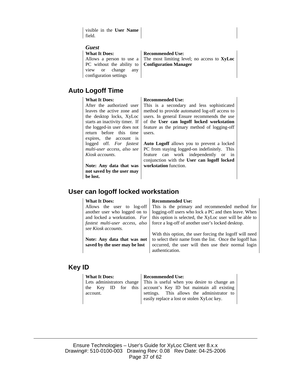visible in the **User Name** field.

#### *Guest*

Allows a person to use a PC without the ability to view or change any configuration settings

## **Auto Logoff Time**

After the authorized user leaves the active zone and the desktop locks, XyLoc starts an inactivity timer. If the logged-in user does not return before this time expires, the account is logged off. *For fastest multi-user access, also see Kiosk accounts*.

**Note: Any data that was not saved by the user may be lost.** 

#### **What It Does: Recommended Use:**

The most limiting level; no access to **XyLoc Configuration Manager**

#### **What It Does: Recommended Use:**

This is a secondary and less sophisticated method to provide automated log-off access to users. In general Ensure recommends the use of the **User can logoff locked workstation** feature as the primary method of logging-off users.

**Auto Logoff** allows you to prevent a locked PC from staying logged-on indefinitely. This feature can work independently or in conjunction with the **User can logoff locked workstation** function.

## **User can logoff locked workstation**

Allows the user to log-off another user who logged on to and locked a workstation. *For fastest multi-user access, also see Kiosk accounts.*

**Note: Any data that was not saved by the user may be lost**

#### **What It Does:** Recommended Use:

This is the primary and recommended method for logging-off users who lock a PC and then leave. When this option is selected, the XyLoc user will be able to force a log-off of another user's locked desktop.

With this option, the user forcing the logoff will need to select their name from the list. Once the logoff has occurred, the user will then use their normal login authentication.

#### **Key ID**

| <b>What It Does:</b> | <b>Recommended Use:</b>                                                  |
|----------------------|--------------------------------------------------------------------------|
|                      | Lets administrators change   This is useful when you desire to change an |
|                      | the Key ID for this account's Key ID but maintain all existing           |
| account.             | settings. This allows the administrator to                               |
|                      | easily replace a lost or stolen XyLoc key.                               |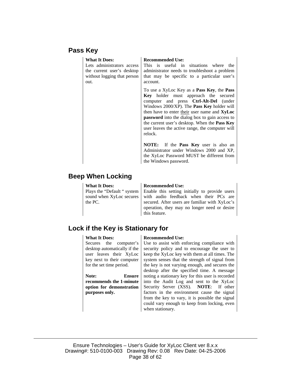#### **Pass Key**

| <b>What It Does:</b><br>Lets administrators access<br>the current user's desktop<br>without logging that person<br>out. | <b>Recommended Use:</b><br>This is useful in situations where the<br>administrator needs to troubleshoot a problem<br>that may be specific to a particular user's<br>account.                                                                                                                                                                                                                                    |
|-------------------------------------------------------------------------------------------------------------------------|------------------------------------------------------------------------------------------------------------------------------------------------------------------------------------------------------------------------------------------------------------------------------------------------------------------------------------------------------------------------------------------------------------------|
|                                                                                                                         | To use a XyLoc Key as a Pass Key, the Pass<br>Key holder must approach the secured<br>computer and press Ctrl-Alt-Del (under<br>Windows 2000/XP). The <b>Pass Key</b> holder will<br>then have to enter their user name and XyLoc<br><b>password</b> into the dialog box to gain access to<br>the current user's desktop. When the <b>Pass Key</b><br>user leaves the active range, the computer will<br>relock. |
|                                                                                                                         | NOTE: If the Pass Key user is also an<br>Administrator under Windows 2000 and XP,<br>the XyLoc Password MUST be different from<br>the Windows password.                                                                                                                                                                                                                                                          |

#### **Beep When Locking**

**What It Does: Recommended Use:** Plays the "Default " system sound when XyLoc secures the PC.

Enable this setting initially to provide users with audio feedback when their PCs are secured. After users are familiar with XyLoc's operation, they may no longer need or desire this feature.

#### **Lock if the Key is Stationary for**

Secures the computer's desktop automatically if the user leaves their XyLoc key next to their computer for the set time period.

#### **Note: Ensure recommends the 1-minute option for demonstration purposes only.**

#### **What It Does: Recommended Use:**

Use to assist with enforcing compliance with security policy and to encourage the user to keep the XyLoc key with them at all times. The system senses that the strength of signal from the key is not varying enough, and secures the desktop after the specified time. A message noting a stationary key for this user is recorded into the Audit Log and sent to the XyLoc Security Server (XSS). **NOTE**: If other factors in the environment cause the signal from the key to vary, it is possible the signal could vary enough to keep from locking, even when stationary.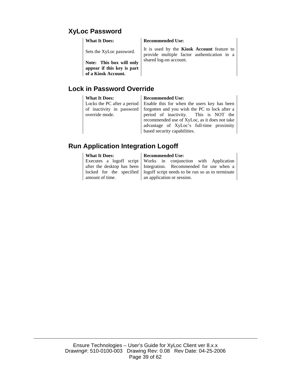### **XyLoc Password**

Sets the XyLoc password.

**Note: This box will only appear if this key is part of a Kiosk Account.** 

#### **Lock in Password Override**

Locks the PC after a period of inactivity in password override mode.

#### **What It Does: Recommended Use:**

Enable this for when the users key has been forgotten and you wish the PC to lock after a period of inactivity. This is NOT the recommended use of XyLoc, as it does not take advantage of XyLoc's full-time proximity based security capabilities.

### **Run Application Integration Logoff**

Executes a logoff script after the desktop has been locked for the specified amount of time.

#### **What It Does:** Recommended Use:

Works in conjunction with Application Integration. Recommended for use when a logoff script needs to be run so as to terminate an application or session.

**What It Does: Recommended Use:** 

It is used by the **Kiosk Account** feature to provide multiple factor authentication in a shared log-on account.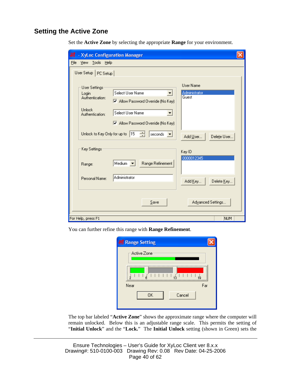#### **Setting the Active Zone**

Set the **Active Zone** by selecting the appropriate **Range** for your environment.

| - XyLoc Configuration Manager                                                  |                                                                                                    |                                            |
|--------------------------------------------------------------------------------|----------------------------------------------------------------------------------------------------|--------------------------------------------|
| <b>File</b><br>View <u>T</u> ools Help                                         |                                                                                                    |                                            |
| User Setup   PC Setup                                                          |                                                                                                    |                                            |
| User Settings:<br>Login<br>Authentication:<br><b>Unlock</b><br>Authentication: | Select User Name<br>M Allow Password Override (No Key)<br>Select User Name<br>$\blacktriangledown$ | <b>User Name</b><br>Administrator<br>Guest |
| Unlock to Key Only for up to 15                                                | M Allow Password Override (No Key)<br>今<br>seconds $\blacktriangledown$                            | Add User<br>Delete User                    |
| Key Settings:<br>Range:                                                        | Medium v<br>Range Refinement                                                                       | Key ID<br>0000012345                       |
| Personal Name:                                                                 | Administrator                                                                                      | Add Key<br>Delete Key                      |
| For Help, press F1                                                             | Save                                                                                               | Advanced Settings<br>NUM                   |

You can further refine this range with **Range Refinement**.

| <b>El Range Setting</b>  |  |
|--------------------------|--|
| Active Zone<br>Ē<br><br> |  |
| Far<br>Near              |  |
| 0K<br>Cancel             |  |

The top bar labeled "**Active Zone**" shows the approximate range where the computer will remain unlocked. Below this is an adjustable range scale. This permits the setting of "**Initial Unlock**" and the "**Lock.**" The **Initial Unlock** setting (shown in Green) sets the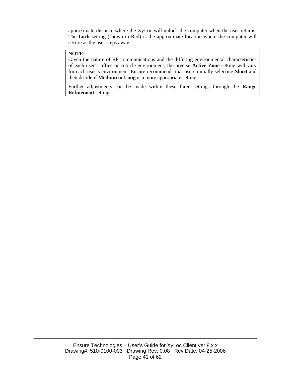approximate distance where the XyLoc will unlock the computer when the user returns. The **Lock** setting (shown in Red) is the approximate location where the computer will secure as the user steps away.

#### **NOTE:**

Given the nature of RF communications and the differing environmental characteristics of each user's office or cubicle environment, the precise **Active Zone** setting will vary for each user's environment. Ensure recommends that users initially selecting **Short** and then decide if **Medium** or **Long** is a more appropriate setting.

Further adjustments can be made within these three settings through the **Range Refinement** setting.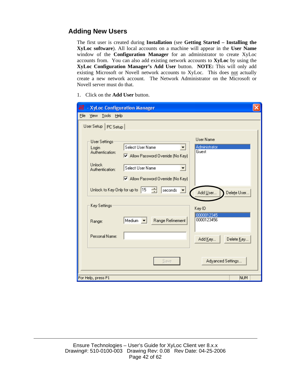### **Adding New Users**

The first user is created during **Installation** (see **Getting Started – Installing the XyLoc software**). All local accounts on a machine will appear in the **User Name** window of the **Configuration Manager** for an administrator to create XyLoc accounts from. You can also add existing network accounts to **XyLoc** by using the **XyLoc Configuration Manager's Add User** button. **NOTE:** This will only add existing Microsoft or Novell network accounts to XyLoc. This does not actually create a new network account. The Network Administrator on the Microsoft or Novell server must do that.

1. Click on the **Add User** button.

| - XyLoc Configuration Manager<br>a                                                   |                                                                                                        |                                     |  |
|--------------------------------------------------------------------------------------|--------------------------------------------------------------------------------------------------------|-------------------------------------|--|
| Eile<br>View Tools Help                                                              |                                                                                                        |                                     |  |
| User Setup   PC Setup                                                                |                                                                                                        |                                     |  |
| <b>User Settings</b><br>Login<br>Authentication:<br><b>Unlock</b><br>Authentication: | Select User Name<br>M Allow Password Override (No Key)<br>Select User Name<br>$\vert \mathbf{v} \vert$ | User Name<br>Administrator<br>Guest |  |
| Unlock to Key Only for up to 15<br>Key Settings                                      | ☑ Allow Password Override (No Key)<br>÷<br>seconds $\vert \mathbf{v} \vert$                            | Add User<br>Delete User             |  |
| Range:                                                                               | Range Refinement<br>Medium $\blacktriangledown$                                                        | Key ID<br>0000012345<br>0000123456  |  |
| Personal Name:                                                                       |                                                                                                        | Delete Key<br>Add Key               |  |
|                                                                                      | Save                                                                                                   | Advanced Settings                   |  |
| For Help, press F1                                                                   |                                                                                                        | NUM.                                |  |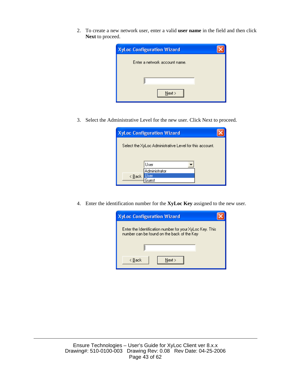2. To create a new network user, enter a valid **user name** in the field and then click **Next** to proceed.

| <b>XyLoc Configuration Wizard</b> |  |
|-----------------------------------|--|
| Enter a network account name.     |  |
|                                   |  |
| $N$ ext >                         |  |

3. Select the Administrative Level for the new user. Click Next to proceed.

|                                                         | <b>XyLoc Configuration Wizard</b> |  |
|---------------------------------------------------------|-----------------------------------|--|
|                                                         |                                   |  |
| Select the XyLoc Administrative Level for this account. |                                   |  |
|                                                         |                                   |  |
|                                                         | User                              |  |
|                                                         | Administrator                     |  |
| $\leq$ $\underline{B}$ ack                              |                                   |  |
|                                                         | uest                              |  |

4. Enter the identification number for the **XyLoc Key** assigned to the new user.

| <b>XyLoc Configuration Wizard</b>                                                                      |
|--------------------------------------------------------------------------------------------------------|
| Enter the Identification number for your XyLoc Key. This<br>number can be found on the back of the Key |
|                                                                                                        |
| < Back<br>Next >                                                                                       |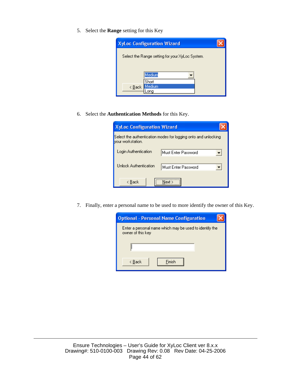5. Select the **Range** setting for this Key



6. Select the **Authentication Methods** for this Key.

|                                                                                     | <b>XyLoc Configuration Wizard</b>            |  |
|-------------------------------------------------------------------------------------|----------------------------------------------|--|
| Select the authentication modes for logging onto and unlocking<br>vour workstation. |                                              |  |
|                                                                                     | Login Authentication<br>Must Enter Password  |  |
|                                                                                     | Unlock Authentication<br>Must Enter Password |  |
|                                                                                     | < Back<br>Next >                             |  |

7. Finally, enter a personal name to be used to more identify the owner of this Key.

| <b>Optional - Personal Name Configuration</b>                                |
|------------------------------------------------------------------------------|
| Enter a personal name which may be used to identify the<br>owner of this key |
|                                                                              |
| Finish<br>< Back                                                             |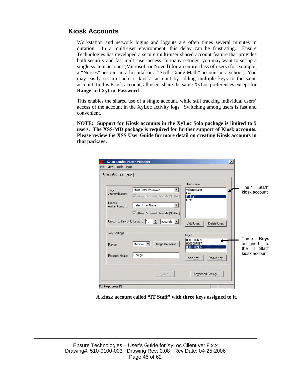#### **Kiosk Accounts**

Workstation and network logins and logouts are often times several minutes in duration. In a multi-user environment, this delay can be frustrating. Ensure Technologies has developed a secure multi-user shared account feature that provides both security and fast multi-user access. In many settings, you may want to set up a single system account (Microsoft or Novell) for an entire class of users (for example, a "Nurses" account in a hospital or a "Sixth Grade Math" account in a school). You may easily set up such a "kiosk" account by adding multiple keys to the same account. In this Kiosk account, all users share the same XyLoc preferences except for **Range** and **XyLoc Password**.

This enables the shared use of a single account, while still tracking individual users' access of the account in the XyLoc activity logs. Switching among users is fast and convenient.

**NOTE: Support for Kiosk accounts in the XyLoc Solo package is limited to 5 users. The XSS-MD package is required for further support of Kiosk accounts. Please review the XSS User Guide for more detail on creating Kiosk accounts in that package.** 

| - XyLoc Configuration Manager<br>View Tools Help<br>File<br>User Setup   PC Setup |                                                                                                                                   | $\vert x \vert$                                                             |                                                                           |
|-----------------------------------------------------------------------------------|-----------------------------------------------------------------------------------------------------------------------------------|-----------------------------------------------------------------------------|---------------------------------------------------------------------------|
| Login<br>Authentication:<br><b>Unlock</b><br>Authentication:                      | Must Enter Password<br>M Allow Password Override (No Key)<br>Select User Name<br>$\triangledown$ Allow Password Override (No Key) | User Name<br>Administrator<br>Guest<br><b>IT Staff</b><br>Matt              | The "IT Staff"<br>kiosk account                                           |
| Unlock to Key Only for up to 15<br>Key Settings<br>Range:<br>Personal Name:       | $\frac{1}{\sqrt{2}}$<br>$ $ seconds $  \cdot  $<br>Range Refinement<br>Medium<br>George                                           | Add User<br>Delete User<br>Key ID<br>0000007689<br>0000007897<br>0000007986 | Three<br><b>Keys</b><br>assigned<br>to<br>the "IT Staff"<br>kiosk account |
| For Help, press F1                                                                | Save                                                                                                                              | Delete Key<br>Add Key<br>Advanced Settings                                  |                                                                           |

**A kiosk account called "IT Staff" with three keys assigned to it.**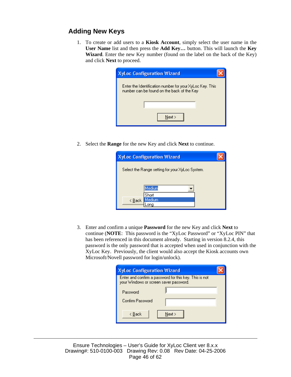### **Adding New Keys**

1. To create or add users to a **Kiosk Account**, simply select the user name in the **User Name** list and then press the **Add Key…** button. This will launch the **Key Wizard**. Enter the new Key number (found on the label on the back of the Key) and click **Next** to proceed.

| <b>XyLoc Configuration Wizard</b>                                                                      |
|--------------------------------------------------------------------------------------------------------|
| Enter the Identification number for your XyLoc Key. This<br>number can be found on the back of the Key |
|                                                                                                        |
| Next >                                                                                                 |

2. Select the **Range** for the new Key and click **Next** to continue.

| <b>XyLoc Configuration Wizard</b>               |  |
|-------------------------------------------------|--|
| Select the Range setting for your XyLoc System. |  |
|                                                 |  |
|                                                 |  |
| Medium                                          |  |
| Short                                           |  |
| ledium.<br>$\leq$ $\underline{B}$ ack           |  |
|                                                 |  |

3. Enter and confirm a unique **Password** for the new Key and click **Next** to continue (**NOTE**: This password is the "XyLoc Password" or "XyLoc PIN" that has been referenced in this document already. Starting in version 8.2.4, this password is the only password that is accepted when used in conjunction with the XyLoc Key. Previously, the client would also accept the Kiosk accounts own Microsoft/Novell password for login/unlock).

| <b>XyLoc Configuration Wizard</b>                                                                |        |  |
|--------------------------------------------------------------------------------------------------|--------|--|
| Enter and confirm a password for this key. This is not<br>your Windows or screen saver password. |        |  |
| Password                                                                                         |        |  |
| Confirm Password                                                                                 |        |  |
| < Back                                                                                           | Next > |  |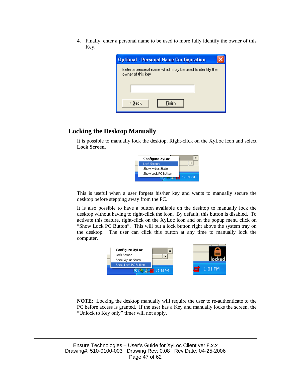4. Finally, enter a personal name to be used to more fully identify the owner of this Key.

| <b>Optional - Personal Name Configuration</b>                                |  |  |
|------------------------------------------------------------------------------|--|--|
| Enter a personal name which may be used to identify the<br>owner of this key |  |  |
|                                                                              |  |  |
| <b>Finish</b><br>< Back                                                      |  |  |

#### **Locking the Desktop Manually**

It is possible to manually lock the desktop. Right-click on the XyLoc icon and select **Lock Screen**.



This is useful when a user forgets his/her key and wants to manually secure the desktop before stepping away from the PC.

It is also possible to have a button available on the desktop to manually lock the desktop without having to right-click the icon. By default, this button is disabled. To activate this feature, right-click on the XyLoc icon and on the popup menu click on "Show Lock PC Button". This will put a lock button right above the system tray on the desktop. The user can click this button at any time to manually lock the computer.



**NOTE**: Locking the desktop manually will require the user to re-authenticate to the PC before access is granted. If the user has a Key and manually locks the screen, the "Unlock to Key only" timer will not apply.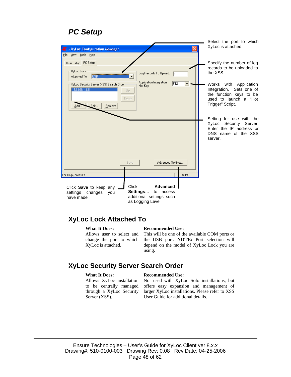### *PC Setup*

| $\times$<br>- XyLoc Configuration Manager<br>ਭ                                                                                                                                                                                                   | Select the port to which<br>XyLoc is attached                                                                                                                                           |
|--------------------------------------------------------------------------------------------------------------------------------------------------------------------------------------------------------------------------------------------------|-----------------------------------------------------------------------------------------------------------------------------------------------------------------------------------------|
| File View Tools Help<br>User Setup PC Setup<br>XyLoc Lock-<br>Log Records To Upload:<br>$\sqrt{1}$<br><b>USB</b><br>Attached To:<br>Application Integration<br>F12<br>XyLoc Security Server (XSS) Search Order<br>Hot Key<br>192.168.1.131<br>Up | Specify the number of log<br>records to be uploaded to<br>the XSS<br>Works with Application<br>Integration. Sets one of                                                                 |
| Down<br>Edit<br>Remove<br>Add                                                                                                                                                                                                                    | the function keys to be<br>used to launch a "Hot<br>Trigger" Script.<br>Setting for use with the<br>XyLoc Security Server.<br>Enter the IP address or<br>DNS name of the XSS<br>server. |
| Advanced Settings<br>Save<br>NUM<br>For Help, press F1                                                                                                                                                                                           |                                                                                                                                                                                         |
| <b>Click</b><br><b>Advanced</b><br>Click Save to keep any<br>Settings<br>to access<br>settings changes<br>vou<br>additional settings such<br>have made<br>as Logging Level                                                                       |                                                                                                                                                                                         |

#### **XyLoc Lock Attached To**

Allows user to select and change the port to which XyLoc is attached.

to be centrally managed through a XyLoc Security

#### **What It Does: Recommended Use:**

This will be one of the available COM ports or the USB port. **NOTE:** Port selection will depend on the model of XyLoc Lock you are using.

#### **XyLoc Security Server Search Order**

### Allows XyLoc installation

Server (XSS).

**What It Does: Recommended Use:** 

Not used with XyLoc Solo installations, but offers easy expansion and management of larger XyLoc installations. Please refer to XSS User Guide for additional details.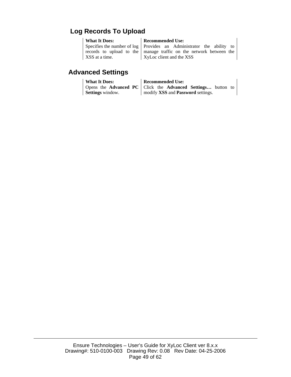### **Log Records To Upload**

Specifies the number of log records to upload to the XSS at a time.

#### **What It Does: Recommended Use:**

Provides an Administrator the ability to manage traffic on the network between the XyLoc client and the XSS

#### **Advanced Settings**

## **What It Does: Recommended Use:**

Opens the **Advanced PC Settings** window. Click the **Advanced Settings…** button to modify **XSS** and **Password** settings.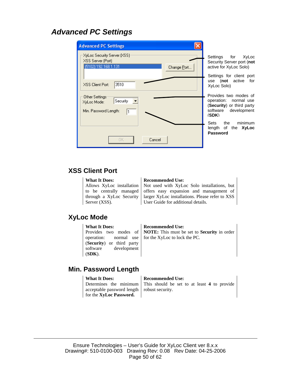### *Advanced PC Settings*

| <b>Advanced PC Settings</b>                                                                                          |                                                                                                                                             |
|----------------------------------------------------------------------------------------------------------------------|---------------------------------------------------------------------------------------------------------------------------------------------|
| XyLoc Security Server [XSS]:<br>XSS Server (Port)<br>[5102] 192.168.1.131<br>Change Port<br>3510<br>XSS Client Port: | Settings for XyLoc<br>Security Server port (not<br>active for XyLoc Solo)<br>Settings for client port<br>use (not active for<br>XyLoc Solo) |
| Other Settings:<br>Security<br>XyLoc Mode:<br>Min. Password Length:<br>I1                                            | Provides two modes of<br>operation: normal use<br>(Security) or third party<br>development<br>software<br>(SDK)                             |
| OK.<br>Cancel                                                                                                        | Sets the minimum<br>length of the XyLoc<br>Password                                                                                         |

#### **XSS Client Port**

#### **What It Does: Recommended Use:** Allows XyLoc installation to be centrally managed through a XyLoc Security Server (XSS). Not used with XyLoc Solo installations, but offers easy expansion and management of larger XyLoc installations. Please refer to XSS User Guide for additional details.

### **XyLoc Mode**

**What It Does: Recommended Use:** Provides two modes of operation: normal use (**Security**) or third party software development (**SDK**).

**NOTE:** This must be set to **Security** in order for the XyLoc to lock the PC.

### **Min. Password Length**

acceptable password length for the **XyLoc Password.** 

#### **What It Does: Recommended Use:** Determines the minimum

This should be set to at least **4** to provide robust security.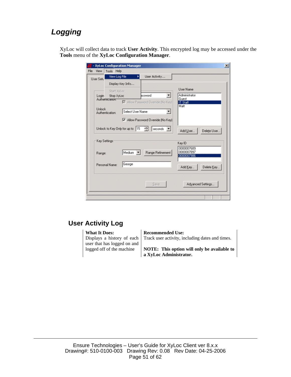### *Logging*

XyLoc will collect data to track **User Activity**. This encrypted log may be accessed under the **Tools** menu of the **XyLoc Configuration Manager**.

|               |                              | - XyLoc Configuration Manager |                                    | $\times$                               |
|---------------|------------------------------|-------------------------------|------------------------------------|----------------------------------------|
| File<br>View  | <b>Tools</b><br>Help         |                               |                                    |                                        |
| User Setu     | View Log File                | Þ.                            | User Activity                      |                                        |
|               |                              | Display Key Info              |                                    |                                        |
|               | Start XyLoc                  |                               |                                    | User Name                              |
| Login         | Stop XyLoc                   |                               | bssword                            | Administrator                          |
|               | Authentication:              |                               | M Allow Password Override (No Key) | Guest<br><b>IT Staff</b>               |
| <b>Unlock</b> | Authentication:              | Select User Name              |                                    | Matt                                   |
|               |                              |                               | M Allow Password Override (No Key) |                                        |
|               | Unlock to Key Only for up to | 15                            | 킄<br>seconds                       | Add User<br>Delete User                |
|               | Key Settings:                |                               |                                    | Key ID                                 |
| Range:        |                              | Medium <b>v</b>               | Range Refinement                   | 0000007689<br>0000007897<br>0000007986 |
|               | Personal Name:               | George                        |                                    | Add Key<br>Delete Key                  |
|               |                              |                               | Save                               | Advanced Settings                      |
|               |                              |                               |                                    |                                        |

### **User Activity Log**

Displays a history of each user that has logged on and logged off of the machine

**What It Does: Recommended Use:** 

Track user activity, including dates and times.

**NOTE: This option will only be available to a XyLoc Administrator.**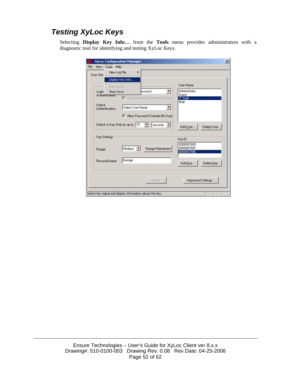### *Testing XyLoc Keys*

Selecting **Display Key Info…** from the **Tools** menu provides administrators with a diagnostic tool for identifying and testing XyLoc Keys.

| - XyLoc Configuration Manager   |                                                          |                          |
|---------------------------------|----------------------------------------------------------|--------------------------|
| Tools Help<br>View              |                                                          |                          |
| View Log File<br>User Setu      |                                                          |                          |
|                                 | Display Key Info                                         |                          |
| Start XyLoc                     |                                                          | <b>User Name</b>         |
| Login<br>Stop XyLoc             | bssword                                                  | Administrator            |
| Authentication.                 |                                                          | Guest                    |
|                                 | M Allow Password Override (No Key)                       | <b>IT Staff</b><br>Matt  |
| Unlock<br>Authentication:       | Select User Name                                         |                          |
|                                 |                                                          |                          |
|                                 | ☑ Allow Password Override (No Key)                       |                          |
| Unlock to Key Only for up to 15 | る<br>seconds                                             |                          |
|                                 |                                                          | Delete User<br>Add User  |
| Key Settings                    |                                                          |                          |
|                                 |                                                          | Key ID                   |
|                                 | Medium $\mathbf{v}$<br>Range Refinement                  | 0000007689<br>0000007897 |
| Range:                          |                                                          | 0000007986               |
|                                 |                                                          |                          |
| Personal Name:                  | George                                                   | Add Key<br>Delete Key    |
|                                 |                                                          |                          |
|                                 |                                                          |                          |
|                                 | Save                                                     | Advanced Settings        |
|                                 |                                                          |                          |
|                                 | Detect key signal and display information about the key. |                          |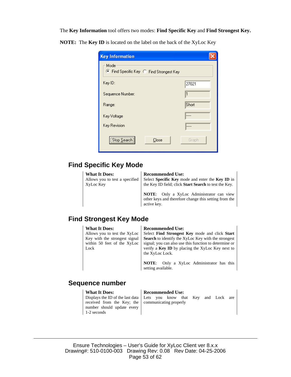The **Key Information** tool offers two modes: **Find Specific Key** and **Find Strongest Key.** 

**NOTE:** The **Key ID** is located on the label on the back of the XyLoc Key

| <b>Key Information</b>                         |       |
|------------------------------------------------|-------|
| Mode<br>Find Specific Key C Find Strongest Key |       |
| Key ID:                                        | 27021 |
| Sequence Number:                               |       |
| Range:                                         | Short |
| Key Voltage                                    |       |
| Key Revision                                   |       |
| Stop Search<br>Close                           | Graph |

#### **Find Specific Key Mode**

Allows you to test a specified

XyLoc Key

#### **What It Does: Recommended Use:**

Select **Specific Key** mode and enter the **Key ID** in the Key ID field; click **Start Search** to test the Key.

**NOTE**: Only a XyLoc Administrator can view other keys and therefore change this setting from the active key.

#### **Find Strongest Key Mode**

Allows you to test the XyLoc Key with the strongest signal within 50 feet of the XyLoc Lock

#### **What It Does: Recommended Use:**

Select **Find Strongest Key** mode and click **Start Search** to identify the XyLoc Key with the strongest signal; you can also use this function to determine or verify a **Key ID** by placing the XyLoc Key next to the XyLoc Lock.

**NOTE**: Only a XyLoc Administrator has this setting available.

#### **Sequence number**

Displays the ID of the last data received from the Key; the number should update every 1-2 seconds

#### **What It Does: Recommended Use:**

Lets you know that Key and Lock are communicating properly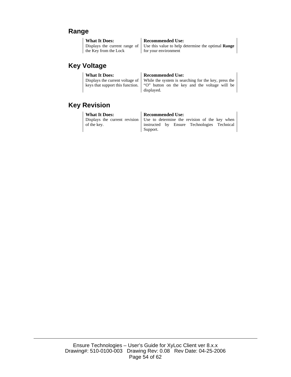#### **Range**

| What It Does:         | <b>Recommended Use:</b>                                                                 |
|-----------------------|-----------------------------------------------------------------------------------------|
|                       | Displays the current range of Use this value to help determine the optimal <b>Range</b> |
| the Key from the Lock | for your environment                                                                    |

### **Key Voltage**

| <b>What It Does:</b> | <b>Recommended Use:</b>                                                                      |
|----------------------|----------------------------------------------------------------------------------------------|
|                      | Displays the current voltage of $\vert$ While the system is searching for the key, press the |
|                      | keys that support this function.   "O" button on the key and the voltage will be             |
|                      | displayed.                                                                                   |

### **Key Revision**

| <b>What It Does:</b> | <b>Recommended Use:</b>                                                     |
|----------------------|-----------------------------------------------------------------------------|
|                      | Displays the current revision Use to determine the revision of the key when |
| of the key.          | instructed by Ensure Technologies Technical                                 |
|                      | Support.                                                                    |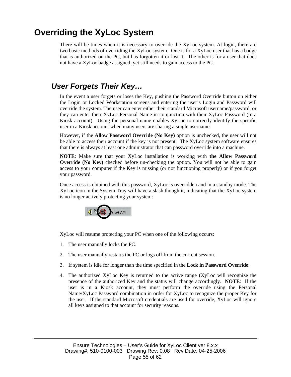## **Overriding the XyLoc System**

There will be times when it is necessary to override the XyLoc system. At login, there are two basic methods of overriding the XyLoc system. One is for a XyLoc user that has a badge that is authorized on the PC, but has forgotten it or lost it. The other is for a user that does not have a XyLoc badge assigned, yet still needs to gain access to the PC.

### *User Forgets Their Key…*

In the event a user forgets or loses the Key, pushing the Password Override button on either the Login or Locked Workstation screens and entering the user's Login and Password will override the system. The user can enter either their standard Microsoft username/password, or they can enter their XyLoc Personal Name in conjunction with their XyLoc Password (in a Kiosk account). Using the personal name enables XyLoc to correctly identify the specific user in a Kiosk account when many users are sharing a single username.

However, if the **Allow Password Override (No Key)** option is unchecked, the user will not be able to access their account if the key is not present. The XyLoc system software ensures that there is always at least one administrator that can password override into a machine.

**NOTE**: Make sure that your XyLoc installation is working with **the Allow Password Override (No Key)** checked before un-checking the option. You will not be able to gain access to your computer if the Key is missing (or not functioning properly) or if you forget your password.

Once access is obtained with this password, XyLoc is overridden and in a standby mode. The XyLoc icon in the System Tray will have a slash though it, indicating that the XyLoc system is no longer actively protecting your system:



XyLoc will resume protecting your PC when one of the following occurs:

- 1. The user manually locks the PC.
- 2. The user manually restarts the PC or logs off from the current session.
- 3. If system is idle for longer than the time specified in the **Lock in Password Override**.
- 4. The authorized XyLoc Key is returned to the active range (XyLoc will recognize the presence of the authorized Key and the status will change accordingly. **NOTE**: If the user is in a Kiosk account, they must perform the override using the Personal Name/XyLoc Password combination in order for XyLoc to recognize the proper Key for the user. If the standard Microsoft credentials are used for override, XyLoc will ignore all keys assigned to that account for security reasons.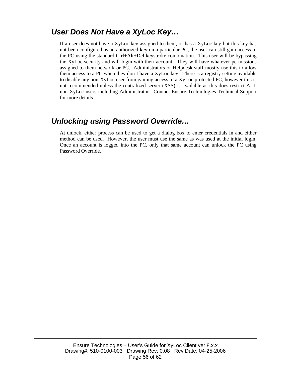### *User Does Not Have a XyLoc Key…*

If a user does not have a XyLoc key assigned to them, or has a XyLoc key but this key has not been configured as an authorized key on a particular PC, the user can still gain access to the PC using the standard Ctrl+Alt+Del keystroke combination. This user will be bypassing the XyLoc security and will login with their account. They will have whatever permissions assigned to them network or PC. Administrators or Helpdesk staff mostly use this to allow them access to a PC when they don't have a XyLoc key. There is a registry setting available to disable any non-XyLoc user from gaining access to a XyLoc protected PC, however this is not recommended unless the centralized server (XSS) is available as this does restrict ALL non-XyLoc users including Administrator. Contact Ensure Technologies Technical Support for more details.

### *Unlocking using Password Override…*

At unlock, either process can be used to get a dialog box to enter credentials in and either method can be used. However, the user must use the same as was used at the initial login. Once an account is logged into the PC, only that same account can unlock the PC using Password Override.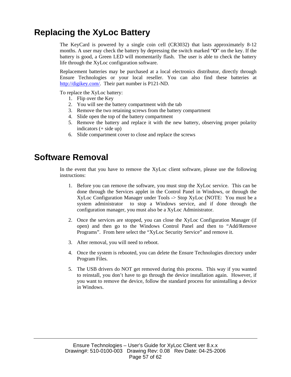## **Replacing the XyLoc Battery**

The KeyCard is powered by a single coin cell (CR3032) that lasts approximately 8-12 months. A user may check the battery by depressing the switch marked "**O**" on the key. If the battery is good, a Green LED will momentarily flash. The user is able to check the battery life through the XyLoc configuration software.

Replacement batteries may be purchased at a local electronics distributor, directly through Ensure Technologies or your local reseller. You can also find these batteries at http://digikey.com/. Their part number is P121-ND.

To replace the XyLoc battery:

- 1. Flip over the Key
- 2. You will see the battery compartment with the tab
- 3. Remove the two retaining screws from the battery compartment
- 4. Slide open the top of the battery compartment
- 5. Remove the battery and replace it with the new battery, observing proper polarity indicators (+ side up)
- 6. Slide compartment cover to close and replace the screws

### **Software Removal**

In the event that you have to remove the XyLoc client software, please use the following instructions:

- 1. Before you can remove the software, you must stop the XyLoc service. This can be done through the Services applet in the Control Panel in Windows, or through the XyLoc Configuration Manager under Tools -> Stop XyLoc (NOTE: You must be a system administrator to stop a Windows service, and if done through the configuration manager, you must also be a XyLoc Administrator.
- 2. Once the services are stopped, you can close the XyLoc Configuration Manager (if open) and then go to the Windows Control Panel and then to "Add/Remove Programs". From here select the "XyLoc Security Service" and remove it.
- 3. After removal, you will need to reboot.
- 4. Once the system is rebooted, you can delete the Ensure Technologies directory under Program Files.
- 5. The USB drivers do NOT get removed during this process. This way if you wanted to reinstall, you don't have to go through the device installation again. However, if you want to remove the device, follow the standard process for uninstalling a device in Windows.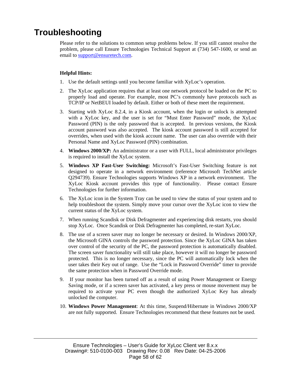### **Troubleshooting**

Please refer to the solutions to common setup problems below. If you still cannot resolve the problem, please call Ensure Technologies Technical Support at (734) 547-1600, or send an email to support@ensuretech.com.

#### **Helpful Hints:**

- 1. Use the default settings until you become familiar with XyLoc's operation.
- 2. The XyLoc application requires that at least one network protocol be loaded on the PC to properly load and operate. For example, most PC's commonly have protocols such as TCP/IP or NetBEUI loaded by default. Either or both of these meet the requirement.
- 3. Starting with XyLoc 8.2.4, in a Kiosk account, when the login or unlock is attempted with a XyLoc key, and the user is set for "Must Enter Password" mode, the XyLoc Password (PIN) is the only password that is accepted. In previous versions, the Kiosk account password was also accepted. The kiosk account password is still accepted for overrides, when used with the kiosk account name. The user can also override with their Personal Name and XyLoc Password (PIN) combination.
- 4. **Windows 2000/XP:** An administrator or a user with FULL, local administrator privileges is required to install the XyLoc system.
- 5. **Windows XP Fast-User Switching:** Microsoft's Fast-User Switching feature is not designed to operate in a network environment (reference Microsoft TechNet article Q294739). Ensure Technologies supports Windows XP in a network environment. The XyLoc Kiosk account provides this type of functionality. Please contact Ensure Technologies for further information.
- 6. The XyLoc icon in the System Tray can be used to view the status of your system and to help troubleshoot the system. Simply move your cursor over the XyLoc icon to view the current status of the XyLoc system.
- 7. When running Scandisk or Disk Defragmenter and experiencing disk restarts, you should stop XyLoc. Once Scandisk or Disk Defragmenter has completed, re-start XyLoc.
- 8. The use of a screen saver may no longer be necessary or desired. In Windows 2000/XP, the Microsoft GINA controls the password protection. Since the XyLoc GINA has taken over control of the security of the PC, the password protection is automatically disabled. The screen saver functionality will still take place, however it will no longer be password protected. This is no longer necessary, since the PC will automatically lock when the user takes their Key out of range. Use the "Lock in Password Override" timer to provide the same protection when in Password Override mode.
- 9. If your monitor has been turned off as a result of using Power Management or Energy Saving mode, or if a screen saver has activated, a key press or mouse movement may be required to activate your PC even though the authorized XyLoc Key has already unlocked the computer.
- 10. **Windows Power Management**: At this time, Suspend/Hibernate in Windows 2000/XP are not fully supported. Ensure Technologies recommend that these features not be used.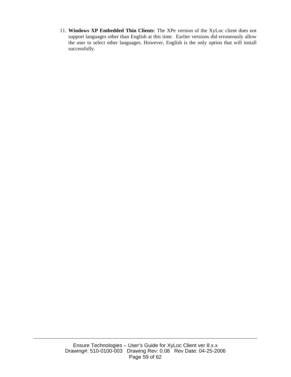11. **Windows XP Embedded Thin Clients**: The XPe version of the XyLoc client does not support languages other than English at this time. Earlier versions did erroneously allow the user to select other languages. However, English is the only option that will install successfully.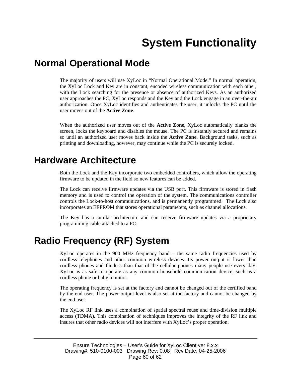## **System Functionality**

### **Normal Operational Mode**

The majority of users will use XyLoc in "Normal Operational Mode." In normal operation, the XyLoc Lock and Key are in constant, encoded wireless communication with each other, with the Lock searching for the presence or absence of authorized Keys. As an authorized user approaches the PC, XyLoc responds and the Key and the Lock engage in an over-the-air authorization. Once XyLoc identifies and authenticates the user, it unlocks the PC until the user moves out of the **Active Zone**.

When the authorized user moves out of the **Active Zone**, XyLoc automatically blanks the screen, locks the keyboard and disables the mouse. The PC is instantly secured and remains so until an authorized user moves back inside the **Active Zone**. Background tasks, such as printing and downloading, however, may continue while the PC is securely locked.

## **Hardware Architecture**

Both the Lock and the Key incorporate two embedded controllers, which allow the operating firmware to be updated in the field so new features can be added.

The Lock can receive firmware updates via the USB port. This firmware is stored in flash memory and is used to control the operation of the system. The communications controller controls the Lock-to-host communications, and is permanently programmed. The Lock also incorporates an EEPROM that stores operational parameters, such as channel allocations.

The Key has a similar architecture and can receive firmware updates via a proprietary programming cable attached to a PC.

## **Radio Frequency (RF) System**

XyLoc operates in the 900 MHz frequency band – the same radio frequencies used by cordless telephones and other common wireless devices. Its power output is lower than cordless phones and far less than that of the cellular phones many people use every day. XyLoc is as safe to operate as any common household communication device, such as a cordless phone or baby monitor.

The operating frequency is set at the factory and cannot be changed out of the certified band by the end user. The power output level is also set at the factory and cannot be changed by the end user.

The XyLoc RF link uses a combination of spatial spectral reuse and time-division multiple access (TDMA). This combination of techniques improves the integrity of the RF link and insures that other radio devices will not interfere with XyLoc's proper operation.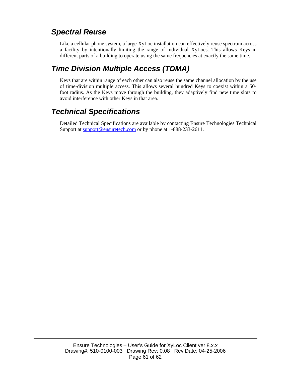### *Spectral Reuse*

Like a cellular phone system, a large XyLoc installation can effectively reuse spectrum across a facility by intentionally limiting the range of individual XyLocs. This allows Keys in different parts of a building to operate using the same frequencies at exactly the same time.

### *Time Division Multiple Access (TDMA)*

Keys that are within range of each other can also reuse the same channel allocation by the use of time-division multiple access. This allows several hundred Keys to coexist within a 50 foot radius. As the Keys move through the building, they adaptively find new time slots to avoid interference with other Keys in that area.

### *Technical Specifications*

Detailed Technical Specifications are available by contacting Ensure Technologies Technical Support at support@ensuretech.com or by phone at 1-888-233-2611.